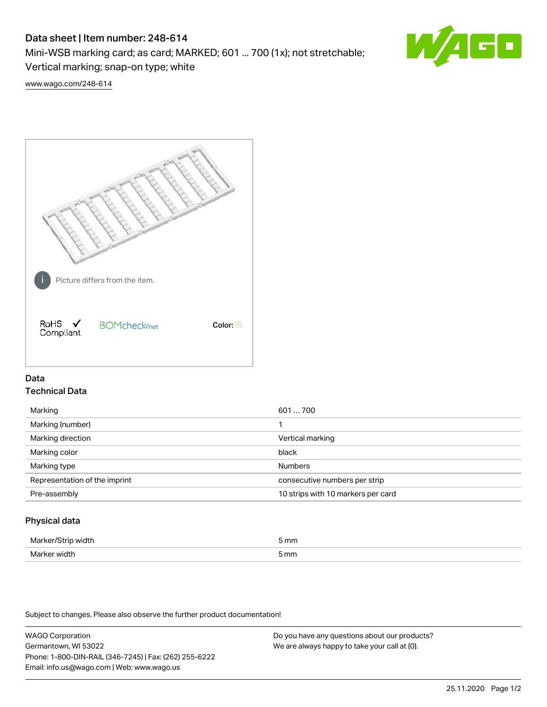# Data sheet | Item number: 248-614

Mini-WSB marking card; as card; MARKED; 601 ... 700 (1x); not stretchable;

Vertical marking; snap-on type; white

60

[www.wago.com/248-614](http://www.wago.com/248-614)



## Data Technical Data

| Marking                       | 601700                             |
|-------------------------------|------------------------------------|
| Marking (number)              |                                    |
| Marking direction             | Vertical marking                   |
| Marking color                 | black                              |
| Marking type                  | <b>Numbers</b>                     |
| Representation of the imprint | consecutive numbers per strip      |
| Pre-assembly                  | 10 strips with 10 markers per card |
|                               |                                    |

## Physical data

| лля    | mm   |
|--------|------|
|        |      |
| ۸Æ<br> | 5 mm |

Subject to changes. Please also observe the further product documentation!

WAGO Corporation Germantown, WI 53022 Phone: 1-800-DIN-RAIL (346-7245) | Fax: (262) 255-6222 Email: info.us@wago.com | Web: www.wago.us Do you have any questions about our products? We are always happy to take your call at {0}.